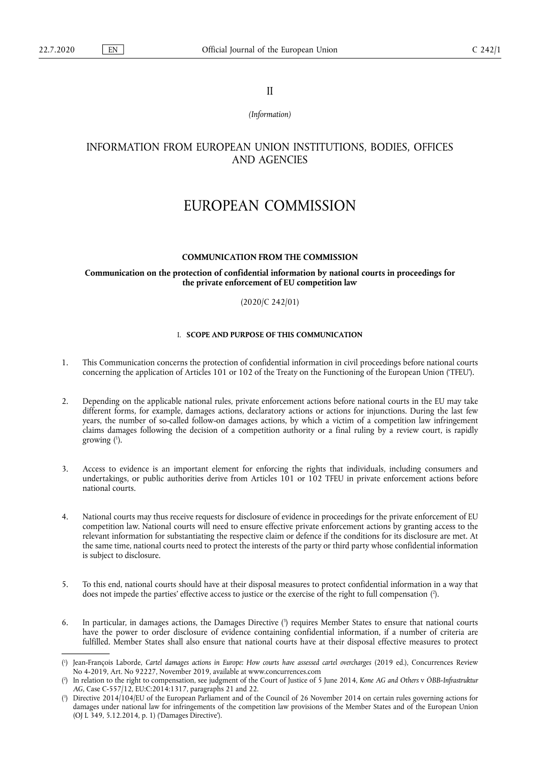II

*(Information)* 

# INFORMATION FROM EUROPEAN UNION INSTITUTIONS, BODIES, OFFICES AND AGENCIES

# EUROPEAN COMMISSION

#### **COMMUNICATION FROM THE COMMISSION**

#### **Communication on the protection of confidential information by national courts in proceedings for the private enforcement of EU competition law**

#### (2020/C 242/01)

# I. **SCOPE AND PURPOSE OF THIS COMMUNICATION**

- 1. This Communication concerns the protection of confidential information in civil proceedings before national courts concerning the application of Articles 101 or 102 of the Treaty on the Functioning of the European Union ('TFEU').
- 2. Depending on the applicable national rules, private enforcement actions before national courts in the EU may take different forms, for example, damages actions, declaratory actions or actions for injunctions. During the last few years, the number of so-called follow-on damages actions, by which a victim of a competition law infringement claims damages following the decision of a competition authority or a final ruling by a review court, is rapidly growing ( 1 ).
- 3. Access to evidence is an important element for enforcing the rights that individuals, including consumers and undertakings, or public authorities derive from Articles 101 or 102 TFEU in private enforcement actions before national courts.
- 4. National courts may thus receive requests for disclosure of evidence in proceedings for the private enforcement of EU competition law. National courts will need to ensure effective private enforcement actions by granting access to the relevant information for substantiating the respective claim or defence if the conditions for its disclosure are met. At the same time, national courts need to protect the interests of the party or third party whose confidential information is subject to disclosure.
- 5. To this end, national courts should have at their disposal measures to protect confidential information in a way that does not impede the parties' effective access to justice or the exercise of the right to full compensation (?).
- 6. In particular, in damages actions, the Damages Directive ( 3 ) requires Member States to ensure that national courts have the power to order disclosure of evidence containing confidential information, if a number of criteria are fulfilled. Member States shall also ensure that national courts have at their disposal effective measures to protect

<sup>(</sup> 1 ) Jean-François Laborde, *Cartel damages actions in Europe: How courts have assessed cartel overcharges* (2019 ed.), Concurrences Review No 4-2019, Art. No 92227, November 2019, available at www.concurrences.com

<sup>(</sup> 2 ) In relation to the right to compensation, see judgment of the Court of Justice of 5 June 2014, *Kone AG and Others* v *ÖBB-Infrastruktur AG*, Case C-557/12, EU:C:2014:1317, paragraphs 21 and 22.

<sup>(</sup> 3 ) Directive 2014/104/EU of the European Parliament and of the Council of 26 November 2014 on certain rules governing actions for damages under national law for infringements of the competition law provisions of the Member States and of the European Union (OJ L 349, 5.12.2014, p. 1) ('Damages Directive').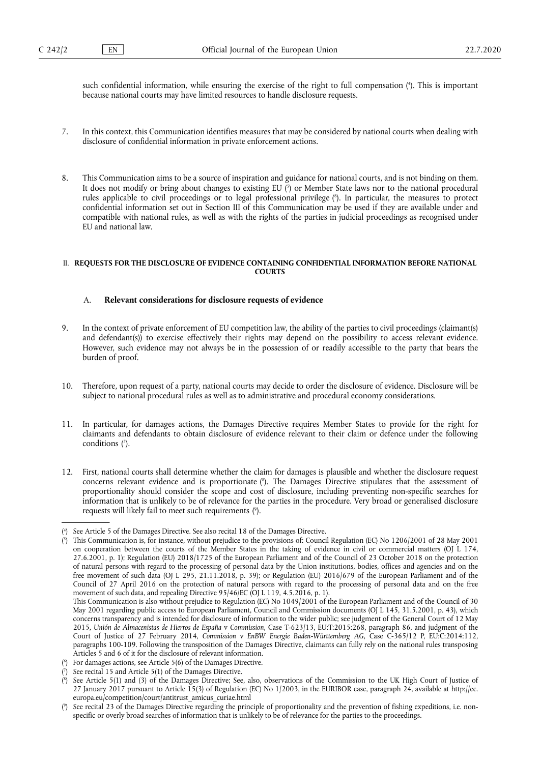such confidential information, while ensuring the exercise of the right to full compensation ( 4 ). This is important because national courts may have limited resources to handle disclosure requests.

- 7. In this context, this Communication identifies measures that may be considered by national courts when dealing with disclosure of confidential information in private enforcement actions.
- 8. This Communication aims to be a source of inspiration and guidance for national courts, and is not binding on them. It does not modify or bring about changes to existing EU (5) or Member State laws nor to the national procedural rules applicable to civil proceedings or to legal professional privilege ( 6 ). In particular, the measures to protect confidential information set out in Section III of this Communication may be used if they are available under and compatible with national rules, as well as with the rights of the parties in judicial proceedings as recognised under EU and national law.

# II. **REQUESTS FOR THE DISCLOSURE OF EVIDENCE CONTAINING CONFIDENTIAL INFORMATION BEFORE NATIONAL COURTS**

# A. **Relevant considerations for disclosure requests of evidence**

- 9. In the context of private enforcement of EU competition law, the ability of the parties to civil proceedings (claimant(s) and defendant(s)) to exercise effectively their rights may depend on the possibility to access relevant evidence. However, such evidence may not always be in the possession of or readily accessible to the party that bears the burden of proof.
- 10. Therefore, upon request of a party, national courts may decide to order the disclosure of evidence. Disclosure will be subject to national procedural rules as well as to administrative and procedural economy considerations.
- 11. In particular, for damages actions, the Damages Directive requires Member States to provide for the right for claimants and defendants to obtain disclosure of evidence relevant to their claim or defence under the following conditions (?).
- 12. First, national courts shall determine whether the claim for damages is plausible and whether the disclosure request concerns relevant evidence and is proportionate ( 8 ). The Damages Directive stipulates that the assessment of proportionality should consider the scope and cost of disclosure, including preventing non-specific searches for information that is unlikely to be of relevance for the parties in the procedure. Very broad or generalised disclosure requests will likely fail to meet such requirements ( 9 ).

( 6 ) For damages actions, see Article 5(6) of the Damages Directive.

<sup>(</sup> 4 ) See Article 5 of the Damages Directive. See also recital 18 of the Damages Directive.

<sup>(</sup> 5 ) This Communication is, for instance, without prejudice to the provisions of: Council Regulation (EC) No 1206/2001 of 28 May 2001 on cooperation between the courts of the Member States in the taking of evidence in civil or commercial matters (OJ L 174, 27.6.2001, p. 1); Regulation (EU) 2018/1725 of the European Parliament and of the Council of 23 October 2018 on the protection of natural persons with regard to the processing of personal data by the Union institutions, bodies, offices and agencies and on the free movement of such data (OJ L 295, 21.11.2018, p. 39); or Regulation (EU) 2016/679 of the European Parliament and of the Council of 27 April 2016 on the protection of natural persons with regard to the processing of personal data and on the free movement of such data, and repealing Directive 95/46/EC (OJ L 119, 4.5.2016, p. 1).

This Communication is also without prejudice to Regulation (EC) No 1049/2001 of the European Parliament and of the Council of 30 May 2001 regarding public access to European Parliament, Council and Commission documents (OJ L 145, 31.5.2001, p. 43), which concerns transparency and is intended for disclosure of information to the wider public; see judgment of the General Court of 12 May 2015, *Unión de Almacenistas de Hierros de España* v *Commission*, Case T-623/13, EU:T:2015:268, paragraph 86, and judgment of the Court of Justice of 27 February 2014, *Commission* v *EnBW Energie Baden-Württemberg AG*, Case C-365/12 P, EU:C:2014:112, paragraphs 100-109. Following the transposition of the Damages Directive, claimants can fully rely on the national rules transposing Articles 5 and 6 of it for the disclosure of relevant information.

<sup>(</sup> 7 See recital 15 and Article 5(1) of the Damages Directive.

<sup>(</sup> 8 ) See Article 5(1) and (3) of the Damages Directive; See, also, observations of the Commission to the UK High Court of Justice of 27 January 2017 pursuant to Article 15(3) of Regulation (EC) No 1/2003, in the EURIBOR case, paragraph 24, available at [http://ec.](http://ec.europa.eu/competition/court/antitrust_amicus_curiae.html) [europa.eu/competition/court/antitrust\\_amicus\\_curiae.html](http://ec.europa.eu/competition/court/antitrust_amicus_curiae.html) 

<sup>(</sup> 9 ) See recital 23 of the Damages Directive regarding the principle of proportionality and the prevention of fishing expeditions, i.e. nonspecific or overly broad searches of information that is unlikely to be of relevance for the parties to the proceedings.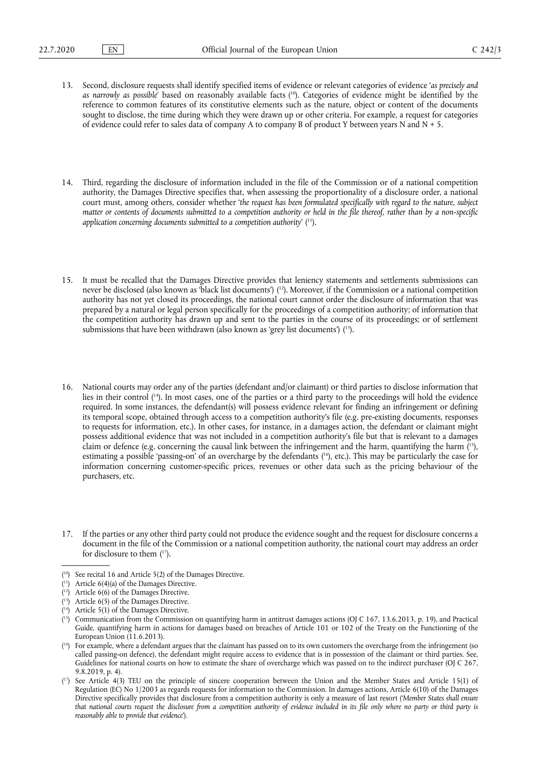- 13. Second, disclosure requests shall identify specified items of evidence or relevant categories of evidence '*as precisely and as narrowly as possible*' based on reasonably available facts ( 10). Categories of evidence might be identified by the reference to common features of its constitutive elements such as the nature, object or content of the documents sought to disclose, the time during which they were drawn up or other criteria. For example, a request for categories of evidence could refer to sales data of company A to company B of product Y between years N and  $N + 5$ .
- 14. Third, regarding the disclosure of information included in the file of the Commission or of a national competition authority, the Damages Directive specifies that, when assessing the proportionality of a disclosure order, a national court must, among others, consider whether '*the request has been formulated specifically with regard to the nature, subject matter or contents of documents submitted to a competition authority or held in the file thereof, rather than by a non-specific application concerning documents submitted to a competition authority*' ( 11).
- 15. It must be recalled that the Damages Directive provides that leniency statements and settlements submissions can never be disclosed (also known as 'black list documents') ( 12). Moreover, if the Commission or a national competition authority has not yet closed its proceedings, the national court cannot order the disclosure of information that was prepared by a natural or legal person specifically for the proceedings of a competition authority; of information that the competition authority has drawn up and sent to the parties in the course of its proceedings; or of settlement submissions that have been withdrawn (also known as 'grey list documents')  $(13)$ .
- 16. National courts may order any of the parties (defendant and/or claimant) or third parties to disclose information that lies in their control ( 14). In most cases, one of the parties or a third party to the proceedings will hold the evidence required. In some instances, the defendant(s) will possess evidence relevant for finding an infringement or defining its temporal scope, obtained through access to a competition authority's file (e.g. pre-existing documents, responses to requests for information, etc.). In other cases, for instance, in a damages action, the defendant or claimant might possess additional evidence that was not included in a competition authority's file but that is relevant to a damages claim or defence (e.g. concerning the causal link between the infringement and the harm, quantifying the harm ( 15), estimating a possible 'passing-on' of an overcharge by the defendants ( 16), etc.). This may be particularly the case for information concerning customer-specific prices, revenues or other data such as the pricing behaviour of the purchasers, etc.

<sup>17.</sup> If the parties or any other third party could not produce the evidence sought and the request for disclosure concerns a document in the file of the Commission or a national competition authority, the national court may address an order for disclosure to them  $(17)$ .

<sup>(</sup> 10) See recital 16 and Article 5(2) of the Damages Directive.

<sup>(</sup> 11) Article 6(4)(a) of the Damages Directive.

<sup>(</sup> 12) Article 6(6) of the Damages Directive.

<sup>(</sup> 13) Article 6(5) of the Damages Directive.

<sup>(</sup> 14) Article 5(1) of the Damages Directive.

 $(15)$  Communication from the Commission on quantifying harm in antitrust damages actions (OJ C 167, 13.6.2013, p. 19), and Practical Guide, quantifying harm in actions for damages based on breaches of Article 101 or 102 of the Treaty on the Functioning of the European Union (11.6.2013).

<sup>(</sup> 16) For example, where a defendant argues that the claimant has passed on to its own customers the overcharge from the infringement (so called passing-on defence), the defendant might require access to evidence that is in possession of the claimant or third parties. See, Guidelines for national courts on how to estimate the share of overcharge which was passed on to the indirect purchaser (OJ C 267, 9.8.2019, p. 4).

<sup>(</sup> 17) See Article 4(3) TEU on the principle of sincere cooperation between the Union and the Member States and Article 15(1) of Regulation (EC) No 1/2003 as regards requests for information to the Commission. In damages actions, Article 6(10) of the Damages Directive specifically provides that disclosure from a competition authority is only a measure of last resort ('*Member States shall ensure that national courts request the disclosure from a competition authority of evidence included in its file only where no party or third party is reasonably able to provide that evidence*').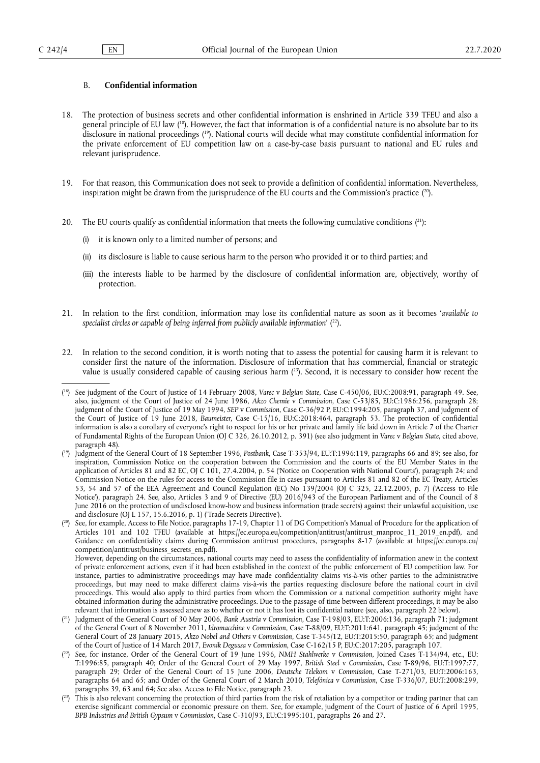#### B. **Confidential information**

- 18. The protection of business secrets and other confidential information is enshrined in Article 339 TFEU and also a general principle of EU law ( 18). However, the fact that information is of a confidential nature is no absolute bar to its disclosure in national proceedings ( 19). National courts will decide what may constitute confidential information for the private enforcement of EU competition law on a case-by-case basis pursuant to national and EU rules and relevant jurisprudence.
- 19. For that reason, this Communication does not seek to provide a definition of confidential information. Nevertheless, inspiration might be drawn from the jurisprudence of the EU courts and the Commission's practice  $(2^0)$ .
- 20. The EU courts qualify as confidential information that meets the following cumulative conditions  $(21)$ :
	- (i) it is known only to a limited number of persons; and
	- (ii) its disclosure is liable to cause serious harm to the person who provided it or to third parties; and
	- (iii) the interests liable to be harmed by the disclosure of confidential information are, objectively, worthy of protection.
- 21. In relation to the first condition, information may lose its confidential nature as soon as it becomes '*available to specialist circles or capable of being inferred from publicly available information*' ( 22).
- 22. In relation to the second condition, it is worth noting that to assess the potential for causing harm it is relevant to consider first the nature of the information. Disclosure of information that has commercial, financial or strategic value is usually considered capable of causing serious harm ( 23). Second, it is necessary to consider how recent the

However, depending on the circumstances, national courts may need to assess the confidentiality of information anew in the context of private enforcement actions, even if it had been established in the context of the public enforcement of EU competition law. For instance, parties to administrative proceedings may have made confidentiality claims vis-à-vis other parties to the administrative proceedings, but may need to make different claims vis-à-vis the parties requesting disclosure before the national court in civil proceedings. This would also apply to third parties from whom the Commission or a national competition authority might have obtained information during the administrative proceedings. Due to the passage of time between different proceedings, it may be also relevant that information is assessed anew as to whether or not it has lost its confidential nature (see, also, paragraph 22 below).

<sup>(</sup> 18) See judgment of the Court of Justice of 14 February 2008, *Varec* v *Belgian State*, Case C-450/06, EU:C:2008:91, paragraph 49. See, also, judgment of the Court of Justice of 24 June 1986, *Akzo Chemie* v *Commission*, Case C-53/85, EU:C:1986:256, paragraph 28; judgment of the Court of Justice of 19 May 1994, *SEP* v *Commission*, Case C-36/92 P, EU:C:1994:205, paragraph 37, and judgment of the Court of Justice of 19 June 2018, *Baumeister*, Case C-15/16, EU:C:2018:464, paragraph 53. The protection of confidential information is also a corollary of everyone's right to respect for his or her private and family life laid down in Article 7 of the Charter of Fundamental Rights of the European Union (OJ C 326, 26.10.2012, p. 391) (see also judgment in *Varec* v *Belgian State*, cited above, paragraph 48).

<sup>(</sup> 19) Judgment of the General Court of 18 September 1996, *Postbank*, Case T-353/94, EU:T:1996:119, paragraphs 66 and 89; see also, for inspiration, Commission Notice on the cooperation between the Commission and the courts of the EU Member States in the application of Articles 81 and 82 EC, OJ C 101, 27.4.2004, p. 54 (Notice on Cooperation with National Courts'), paragraph 24; and Commission Notice on the rules for access to the Commission file in cases pursuant to Articles 81 and 82 of the EC Treaty, Articles 53, 54 and 57 of the EEA Agreement and Council Regulation (EC) No 139/2004 (OJ C 325, 22.12.2005, p. 7) ('Access to File Notice'), paragraph 24. See, also, Articles 3 and 9 of Directive (EU) 2016/943 of the European Parliament and of the Council of 8 June 2016 on the protection of undisclosed know-how and business information (trade secrets) against their unlawful acquisition, use and disclosure (OJ L 157, 15.6.2016, p. 1) ('Trade Secrets Directive').

<sup>(</sup> 20) See, for example, Access to File Notice, paragraphs 17-19, Chapter 11 of DG Competition's Manual of Procedure for the application of Articles 101 and 102 TFEU (available at [https://ec.europa.eu/competition/antitrust/antitrust\\_manproc\\_11\\_2019\\_en.pdf](https://ec.europa.eu/competition/antitrust/antitrust_manproc_11_2019_en.pdf)), and Guidance on confidentiality claims during Commission antitrust procedures, paragraphs 8-17 (available at [https://ec.europa.eu/](https://ec.europa.eu/competition/antitrust/business_secrets_en.pdf) [competition/antitrust/business\\_secrets\\_en.pdf\)](https://ec.europa.eu/competition/antitrust/business_secrets_en.pdf).

<sup>(</sup> 21) Judgment of the General Court of 30 May 2006*, Bank Austria* v *Commission*, Case T-198/03, EU:T:2006:136, paragraph 71; judgment of the General Court of 8 November 2011, *Idromacchine* v *Commission*, Case T-88/09, EU:T:2011:641, paragraph 45; judgment of the General Court of 28 January 2015, *Akzo Nobel and Others* v *Commission*, Case T-345/12, EU:T:2015:50, paragraph 65; and judgment of the Court of Justice of 14 March 2017, *Evonik Degussa* v *Commission*, Case C-162/15 P, EU:C:2017:205, paragraph 107.

<sup>(</sup> 22) See, for instance, Order of the General Court of 19 June 1996, *NMH Stahlwerke* v *Commission*, Joined Cases T-134/94, etc., EU: T:1996:85, paragraph 40; Order of the General Court of 29 May 1997, *British Steel* v *Commission*, Case T-89/96, EU:T:1997:77, paragraph 29; Order of the General Court of 15 June 2006, *Deutsche Telekom* v *Commission*, Case T-271/03, EU:T:2006:163, paragraphs 64 and 65; and Order of the General Court of 2 March 2010, *Telefónica* v *Commission*, Case T-336/07, EU:T:2008:299, paragraphs 39, 63 and 64; See also, Access to File Notice, paragraph 23.

<sup>(</sup> 23) This is also relevant concerning the protection of third parties from the risk of retaliation by a competitor or trading partner that can exercise significant commercial or economic pressure on them. See, for example, judgment of the Court of Justice of 6 April 1995, *BPB Industries and British Gypsum* v *Commission*, Case C-310/93, EU:C:1995:101, paragraphs 26 and 27.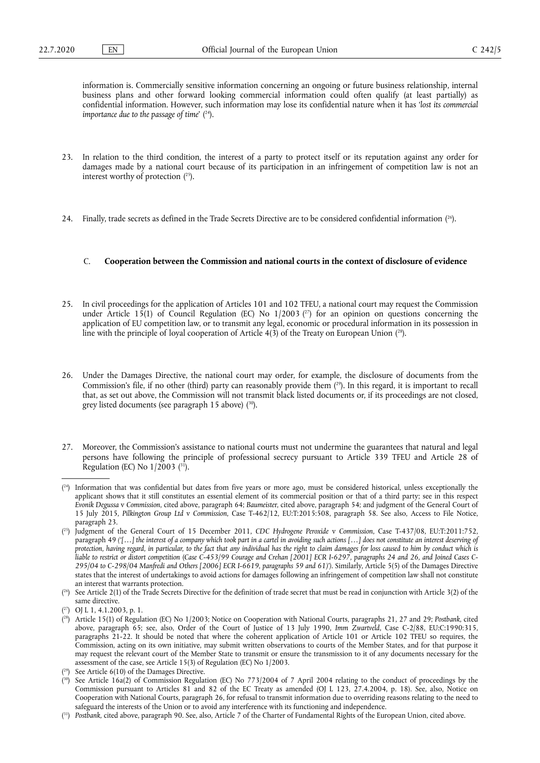information is. Commercially sensitive information concerning an ongoing or future business relationship, internal business plans and other forward looking commercial information could often qualify (at least partially) as confidential information. However, such information may lose its confidential nature when it has '*lost its commercial importance due to the passage of time*' ( 24).

- 23. In relation to the third condition, the interest of a party to protect itself or its reputation against any order for damages made by a national court because of its participation in an infringement of competition law is not an interest worthy of protection  $(^{25})$ .
- 24. Finally, trade secrets as defined in the Trade Secrets Directive are to be considered confidential information ( 26).

#### C. **Cooperation between the Commission and national courts in the context of disclosure of evidence**

- 25. In civil proceedings for the application of Articles 101 and 102 TFEU, a national court may request the Commission under Article 15(1) of Council Regulation (EC) No  $1/2003$  ( $2$ ) for an opinion on questions concerning the application of EU competition law, or to transmit any legal, economic or procedural information in its possession in line with the principle of loyal cooperation of Article 4(3) of the Treaty on European Union ( 28).
- 26. Under the Damages Directive, the national court may order, for example, the disclosure of documents from the Commission's file, if no other (third) party can reasonably provide them  $(^{29}$ ). In this regard, it is important to recall that, as set out above, the Commission will not transmit black listed documents or, if its proceedings are not closed, grey listed documents (see paragraph 15 above) ( 30).
- 27. Moreover, the Commission's assistance to national courts must not undermine the guarantees that natural and legal persons have following the principle of professional secrecy pursuant to Article 339 TFEU and Article 28 of Regulation (EC) No  $1/2003$  (<sup>31</sup>).

 $(24)$  Information that was confidential but dates from five years or more ago, must be considered historical, unless exceptionally the applicant shows that it still constitutes an essential element of its commercial position or that of a third party; see in this respect *Evonik Degussa* v *Commission*, cited above, paragraph 64; *Baumeiste*r, cited above, paragraph 54; and judgment of the General Court of 15 July 2015, *Pilkington Group Ltd* v *Commission*, Case T-462/12, EU:T:2015:508, paragraph 58. See also, Access to File Notice, paragraph 23.

<sup>(</sup> 25) Judgment of the General Court of 15 December 2011, *CDC Hydrogene Peroxide* v *Commission*, Case T-437/08, EU:T:2011:752, paragraph 49 *('[…] the interest of a company which took part in a cartel in avoiding such actions […] does not constitute an interest deserving of protection, having regard, in particular, to the fact that any individual has the right to claim damages for loss caused to him by conduct which is liable to restrict or distort competition* (*Case C-453/99 Courage and Crehan [2001] ECR I-6297, paragraphs 24 and 26, and Joined Cases C-295/04 to C-298/04 Manfredi and Others [2006] ECR I-6619, paragraphs 59 and 61)').* Similarly, Article 5(5) of the Damages Directive states that the interest of undertakings to avoid actions for damages following an infringement of competition law shall not constitute an interest that warrants protection.

<sup>(</sup> 26) See Article 2(1) of the Trade Secrets Directive for the definition of trade secret that must be read in conjunction with Article 3(2) of the same directive.

<sup>(</sup> 27) OJ L 1, 4.1.2003, p. 1.

<sup>(</sup> 28) Article 15(1) of Regulation (EC) No 1/2003; Notice on Cooperation with National Courts, paragraphs 21, 27 and 29; *Postbank*, cited above, paragraph 65; see, also, Order of the Court of Justice of 13 July 1990, *Imm Zwartveld*, Case C-2/88, EU:C:1990:315, paragraphs 21-22. It should be noted that where the coherent application of Article 101 or Article 102 TFEU so requires, the Commission, acting on its own initiative, may submit written observations to courts of the Member States, and for that purpose it may request the relevant court of the Member State to transmit or ensure the transmission to it of any documents necessary for the assessment of the case, see Article 15(3) of Regulation (EC) No 1/2003.

<sup>(</sup> 29) See Article 6(10) of the Damages Directive.

<sup>(</sup> 30) See Article 16a(2) of Commission Regulation (EC) No 773/2004 of 7 April 2004 relating to the conduct of proceedings by the Commission pursuant to Articles 81 and 82 of the EC Treaty as amended (OJ L 123, 27.4.2004, p. 18). See, also, Notice on Cooperation with National Courts, paragraph 26, for refusal to transmit information due to overriding reasons relating to the need to safeguard the interests of the Union or to avoid any interference with its functioning and independence.

<sup>(</sup> 31) *Postbank*, cited above, paragraph 90. See, also, Article 7 of the Charter of Fundamental Rights of the European Union, cited above.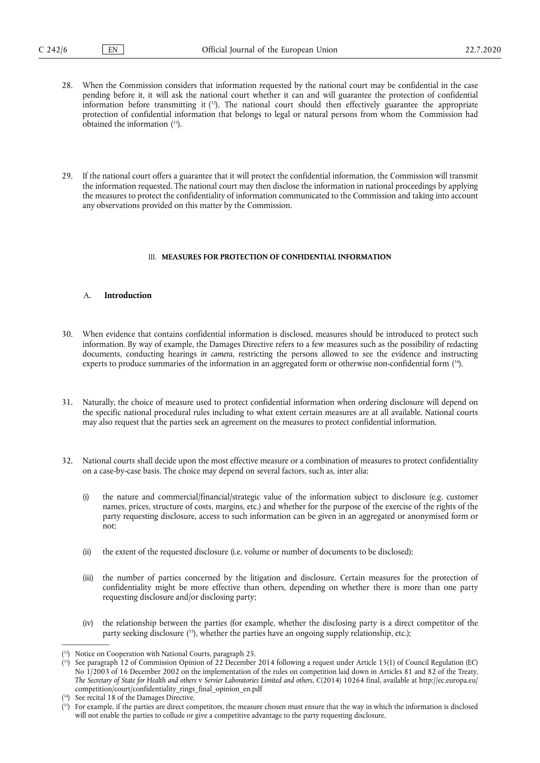- 28. When the Commission considers that information requested by the national court may be confidential in the case pending before it, it will ask the national court whether it can and will guarantee the protection of confidential information before transmitting it  $(3^2)$ . The national court should then effectively guarantee the appropriate protection of confidential information that belongs to legal or natural persons from whom the Commission had obtained the information ( 33).
- 29. If the national court offers a guarantee that it will protect the confidential information, the Commission will transmit the information requested. The national court may then disclose the information in national proceedings by applying the measures to protect the confidentiality of information communicated to the Commission and taking into account any observations provided on this matter by the Commission.

#### III. **MEASURES FOR PROTECTION OF CONFIDENTIAL INFORMATION**

#### A. **Introduction**

- 30. When evidence that contains confidential information is disclosed, measures should be introduced to protect such information. By way of example, the Damages Directive refers to a few measures such as the possibility of redacting documents, conducting hearings *in camera*, restricting the persons allowed to see the evidence and instructing experts to produce summaries of the information in an aggregated form or otherwise non-confidential form ( 34).
- 31. Naturally, the choice of measure used to protect confidential information when ordering disclosure will depend on the specific national procedural rules including to what extent certain measures are at all available. National courts may also request that the parties seek an agreement on the measures to protect confidential information.
- 32. National courts shall decide upon the most effective measure or a combination of measures to protect confidentiality on a case-by-case basis. The choice may depend on several factors, such as, inter alia:
	- (i) the nature and commercial/financial/strategic value of the information subject to disclosure (e.g. customer names, prices, structure of costs, margins, etc.) and whether for the purpose of the exercise of the rights of the party requesting disclosure, access to such information can be given in an aggregated or anonymised form or not;
	- (ii) the extent of the requested disclosure (i.e. volume or number of documents to be disclosed);
	- (iii) the number of parties concerned by the litigation and disclosure. Certain measures for the protection of confidentiality might be more effective than others, depending on whether there is more than one party requesting disclosure and/or disclosing party;
	- (iv) the relationship between the parties (for example, whether the disclosing party is a direct competitor of the party seeking disclosure ( 35), whether the parties have an ongoing supply relationship, etc.);

<sup>(</sup> 32) Notice on Cooperation with National Courts, paragraph 25.

 $(33)$ 33) See paragraph 12 of Commission Opinion of 22 December 2014 following a request under Article 15(1) of Council Regulation (EC) No  $1/2003$  of 16 December 2002 on the implementation of the rules on competition laid down in Articles 81 and 82 of the Treaty, *The Secretary of State for Health and others* v *Servier Laboratories Limited and others*, C(2014) 10264 final, available at [http://ec.europa.eu/](http://ec.europa.eu/competition/court/confidentiality_rings_final_opinion_en.pdf) [competition/court/confidentiality\\_rings\\_final\\_opinion\\_en.pdf](http://ec.europa.eu/competition/court/confidentiality_rings_final_opinion_en.pdf)

<sup>(</sup> See recital 18 of the Damages Directive.

<sup>(</sup> 35) For example, if the parties are direct competitors, the measure chosen must ensure that the way in which the information is disclosed will not enable the parties to collude or give a competitive advantage to the party requesting disclosure.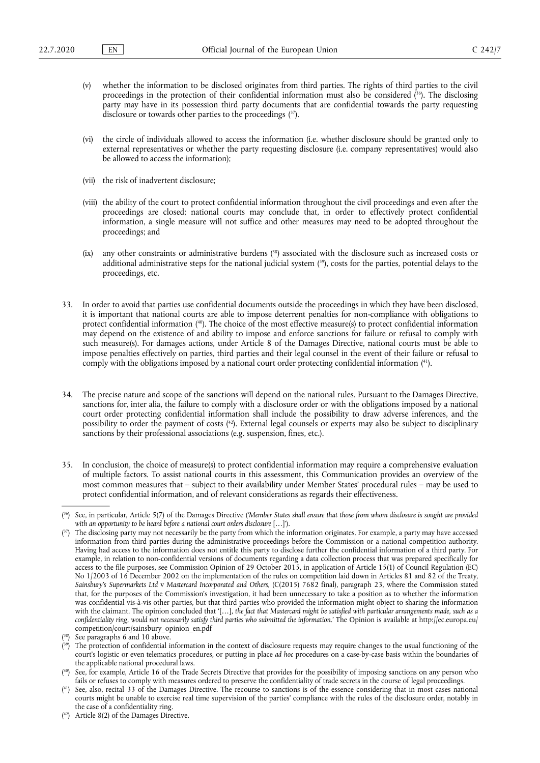- (v) whether the information to be disclosed originates from third parties. The rights of third parties to the civil proceedings in the protection of their confidential information must also be considered ( 36). The disclosing party may have in its possession third party documents that are confidential towards the party requesting disclosure or towards other parties to the proceedings ( 37).
- (vi) the circle of individuals allowed to access the information (i.e. whether disclosure should be granted only to external representatives or whether the party requesting disclosure (i.e. company representatives) would also be allowed to access the information);
- (vii) the risk of inadvertent disclosure;
- (viii) the ability of the court to protect confidential information throughout the civil proceedings and even after the proceedings are closed; national courts may conclude that, in order to effectively protect confidential information, a single measure will not suffice and other measures may need to be adopted throughout the proceedings; and
- (ix) any other constraints or administrative burdens ( 38) associated with the disclosure such as increased costs or additional administrative steps for the national judicial system ( 39), costs for the parties, potential delays to the proceedings, etc.
- 33. In order to avoid that parties use confidential documents outside the proceedings in which they have been disclosed, it is important that national courts are able to impose deterrent penalties for non-compliance with obligations to protect confidential information ( 40). The choice of the most effective measure(s) to protect confidential information may depend on the existence of and ability to impose and enforce sanctions for failure or refusal to comply with such measure(s). For damages actions, under Article 8 of the Damages Directive, national courts must be able to impose penalties effectively on parties, third parties and their legal counsel in the event of their failure or refusal to comply with the obligations imposed by a national court order protecting confidential information ( 41).
- 34. The precise nature and scope of the sanctions will depend on the national rules. Pursuant to the Damages Directive, sanctions for, inter alia, the failure to comply with a disclosure order or with the obligations imposed by a national court order protecting confidential information shall include the possibility to draw adverse inferences, and the possibility to order the payment of costs ( 42). External legal counsels or experts may also be subject to disciplinary sanctions by their professional associations (e.g. suspension, fines, etc.).
- 35. In conclusion, the choice of measure(s) to protect confidential information may require a comprehensive evaluation of multiple factors. To assist national courts in this assessment, this Communication provides an overview of the most common measures that – subject to their availability under Member States' procedural rules – may be used to protect confidential information, and of relevant considerations as regards their effectiveness.

<sup>(</sup> 36) See, in particular, Article 5(7) of the Damages Directive ('*Member States shall ensure that those from whom disclosure is sought are provided*  with an opportunity to be heard before a national court orders disclosure [...]').

<sup>(37)</sup> The disclosing party may not necessarily be the party from which the information originates. For example, a party may have accessed information from third parties during the administrative proceedings before the Commission or a national competition authority. Having had access to the information does not entitle this party to disclose further the confidential information of a third party. For example, in relation to non-confidential versions of documents regarding a data collection process that was prepared specifically for access to the file purposes, see Commission Opinion of 29 October 2015, in application of Article 15(1) of Council Regulation (EC) No 1/2003 of 16 December 2002 on the implementation of the rules on competition laid down in Articles 81 and 82 of the Treaty, *Sainsbury's Supermarkets Ltd* v *Mastercard Incorporated and Others,* (C(2015) 7682 final), paragraph 23, where the Commission stated that, for the purposes of the Commission's investigation, it had been unnecessary to take a position as to whether the information was confidential vis-à-vis other parties, but that third parties who provided the information might object to sharing the information with the claimant. The opinion concluded that '[…], *the fact that Mastercard might be satisfied with particular arrangements made, such as a confidentiality ring, would not necessarily satisfy third parties who submitted the information*.' The Opinion is available at [http://ec.europa.eu/](http://ec.europa.eu/competition/court/sainsbury_opinion_en.pdf) [competition/court/sainsbury\\_opinion\\_en.pdf](http://ec.europa.eu/competition/court/sainsbury_opinion_en.pdf) 

<sup>(</sup> See paragraphs 6 and 10 above.

<sup>(39)</sup> The protection of confidential information in the context of disclosure requests may require changes to the usual functioning of the court's logistic or even telematics procedures, or putting in place *ad hoc* procedures on a case-by-case basis within the boundaries of the applicable national procedural laws.

<sup>(</sup> 40) See, for example, Article 16 of the Trade Secrets Directive that provides for the possibility of imposing sanctions on any person who fails or refuses to comply with measures ordered to preserve the confidentiality of trade secrets in the course of legal proceedings.

<sup>(</sup> 41) See, also, recital 33 of the Damages Directive. The recourse to sanctions is of the essence considering that in most cases national courts might be unable to exercise real time supervision of the parties' compliance with the rules of the disclosure order, notably in the case of a confidentiality ring.

<sup>(</sup> 42) Article 8(2) of the Damages Directive.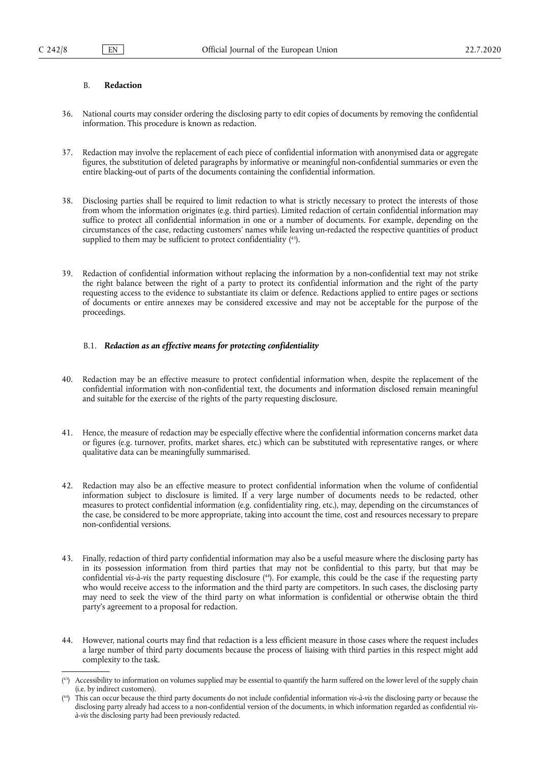#### B. **Redaction**

- 36. National courts may consider ordering the disclosing party to edit copies of documents by removing the confidential information. This procedure is known as redaction.
- 37. Redaction may involve the replacement of each piece of confidential information with anonymised data or aggregate figures, the substitution of deleted paragraphs by informative or meaningful non-confidential summaries or even the entire blacking-out of parts of the documents containing the confidential information.
- 38. Disclosing parties shall be required to limit redaction to what is strictly necessary to protect the interests of those from whom the information originates (e.g. third parties). Limited redaction of certain confidential information may suffice to protect all confidential information in one or a number of documents. For example, depending on the circumstances of the case, redacting customers' names while leaving un-redacted the respective quantities of product supplied to them may be sufficient to protect confidentiality ( 43).
- 39. Redaction of confidential information without replacing the information by a non-confidential text may not strike the right balance between the right of a party to protect its confidential information and the right of the party requesting access to the evidence to substantiate its claim or defence. Redactions applied to entire pages or sections of documents or entire annexes may be considered excessive and may not be acceptable for the purpose of the proceedings.

# B.1. *Redaction as an effective means for protecting confidentiality*

- 40. Redaction may be an effective measure to protect confidential information when, despite the replacement of the confidential information with non-confidential text, the documents and information disclosed remain meaningful and suitable for the exercise of the rights of the party requesting disclosure.
- 41. Hence, the measure of redaction may be especially effective where the confidential information concerns market data or figures (e.g. turnover, profits, market shares, etc.) which can be substituted with representative ranges, or where qualitative data can be meaningfully summarised.
- 42. Redaction may also be an effective measure to protect confidential information when the volume of confidential information subject to disclosure is limited. If a very large number of documents needs to be redacted, other measures to protect confidential information (e.g. confidentiality ring, etc.), may, depending on the circumstances of the case, be considered to be more appropriate, taking into account the time, cost and resources necessary to prepare non-confidential versions.
- 43. Finally, redaction of third party confidential information may also be a useful measure where the disclosing party has in its possession information from third parties that may not be confidential to this party, but that may be confidential *vis-à-vis* the party requesting disclosure ( 44). For example, this could be the case if the requesting party who would receive access to the information and the third party are competitors. In such cases, the disclosing party may need to seek the view of the third party on what information is confidential or otherwise obtain the third party's agreement to a proposal for redaction.
- 44. However, national courts may find that redaction is a less efficient measure in those cases where the request includes a large number of third party documents because the process of liaising with third parties in this respect might add complexity to the task.

<sup>(</sup> 43) Accessibility to information on volumes supplied may be essential to quantify the harm suffered on the lower level of the supply chain (i.e. by indirect customers).

<sup>(</sup> 44) This can occur because the third party documents do not include confidential information *vis-à-vis* the disclosing party or because the disclosing party already had access to a non-confidential version of the documents, in which information regarded as confidential *visà-vis* the disclosing party had been previously redacted.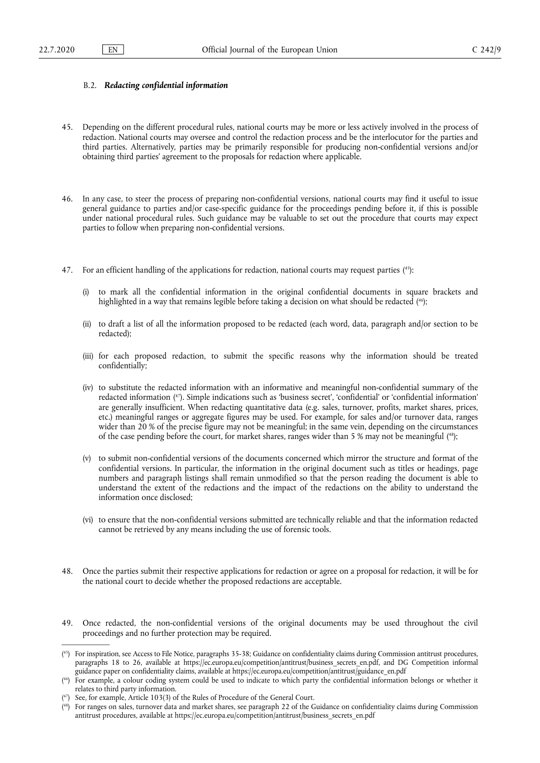#### B.2. *Redacting confidential information*

- 45. Depending on the different procedural rules, national courts may be more or less actively involved in the process of redaction. National courts may oversee and control the redaction process and be the interlocutor for the parties and third parties. Alternatively, parties may be primarily responsible for producing non-confidential versions and/or obtaining third parties' agreement to the proposals for redaction where applicable.
- 46. In any case, to steer the process of preparing non-confidential versions, national courts may find it useful to issue general guidance to parties and/or case-specific guidance for the proceedings pending before it, if this is possible under national procedural rules. Such guidance may be valuable to set out the procedure that courts may expect parties to follow when preparing non-confidential versions.
- 47. For an efficient handling of the applications for redaction, national courts may request parties ( 45):
	- to mark all the confidential information in the original confidential documents in square brackets and highlighted in a way that remains legible before taking a decision on what should be redacted ( 46);
	- (ii) to draft a list of all the information proposed to be redacted (each word, data, paragraph and/or section to be redacted);
	- (iii) for each proposed redaction, to submit the specific reasons why the information should be treated confidentially;
	- (iv) to substitute the redacted information with an informative and meaningful non-confidential summary of the redacted information ( 47). Simple indications such as 'business secret', 'confidential' or 'confidential information' are generally insufficient. When redacting quantitative data (e.g. sales, turnover, profits, market shares, prices, etc.) meaningful ranges or aggregate figures may be used. For example, for sales and/or turnover data, ranges wider than 20 % of the precise figure may not be meaningful; in the same vein, depending on the circumstances of the case pending before the court, for market shares, ranges wider than 5 % may not be meaningful ( 48);
	- (v) to submit non-confidential versions of the documents concerned which mirror the structure and format of the confidential versions. In particular, the information in the original document such as titles or headings, page numbers and paragraph listings shall remain unmodified so that the person reading the document is able to understand the extent of the redactions and the impact of the redactions on the ability to understand the information once disclosed;
	- (vi) to ensure that the non-confidential versions submitted are technically reliable and that the information redacted cannot be retrieved by any means including the use of forensic tools.
- 48. Once the parties submit their respective applications for redaction or agree on a proposal for redaction, it will be for the national court to decide whether the proposed redactions are acceptable.
- 49. Once redacted, the non-confidential versions of the original documents may be used throughout the civil proceedings and no further protection may be required.

<sup>(</sup> 45) For inspiration, see Access to File Notice, paragraphs 35-38; Guidance on confidentiality claims during Commission antitrust procedures, paragraphs 18 to 26, available at [https://ec.europa.eu/competition/antitrust/business\\_secrets\\_en.pdf](https://ec.europa.eu/competition/antitrust/business_secrets_en.pdf), and DG Competition informal guidance paper on confidentiality claims, available at [https://ec.europa.eu/competition/antitrust/guidance\\_en.pdf](https://ec.europa.eu/competition/antitrust/guidance_en.pdf) 

<sup>(</sup> 46) For example, a colour coding system could be used to indicate to which party the confidential information belongs or whether it relates to third party information.

<sup>(</sup> See, for example, Article 103(3) of the Rules of Procedure of the General Court.

<sup>(</sup> 48) For ranges on sales, turnover data and market shares, see paragraph 22 of the Guidance on confidentiality claims during Commission antitrust procedures, available at [https://ec.europa.eu/competition/antitrust/business\\_secrets\\_en.pdf](https://ec.europa.eu/competition/antitrust/business_secrets_en.pdf)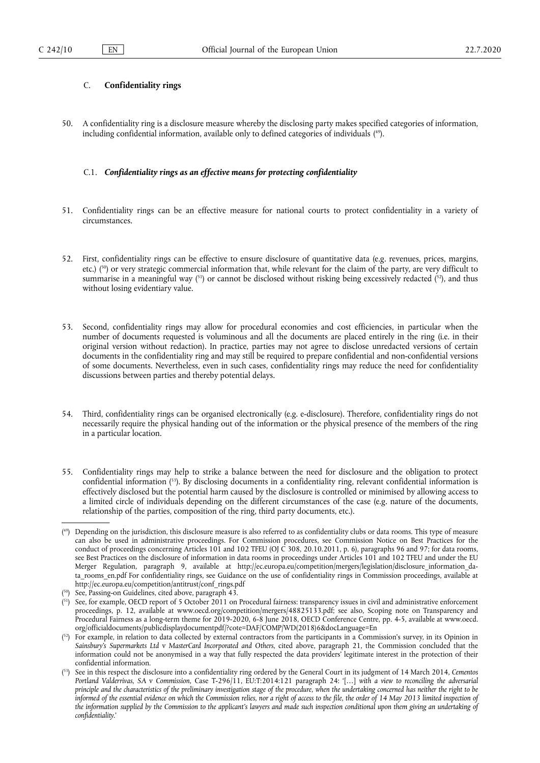# C. **Confidentiality rings**

50. A confidentiality ring is a disclosure measure whereby the disclosing party makes specified categories of information, including confidential information, available only to defined categories of individuals ( 49).

# C.1. *Confidentiality rings as an effective means for protecting confidentiality*

- 51. Confidentiality rings can be an effective measure for national courts to protect confidentiality in a variety of circumstances.
- 52. First, confidentiality rings can be effective to ensure disclosure of quantitative data (e.g. revenues, prices, margins, etc.) ( 50) or very strategic commercial information that, while relevant for the claim of the party, are very difficult to summarise in a meaningful way  $\binom{51}{1}$  or cannot be disclosed without risking being excessively redacted  $\binom{52}{7}$ , and thus without losing evidentiary value.
- 53. Second, confidentiality rings may allow for procedural economies and cost efficiencies, in particular when the number of documents requested is voluminous and all the documents are placed entirely in the ring (i.e. in their original version without redaction). In practice, parties may not agree to disclose unredacted versions of certain documents in the confidentiality ring and may still be required to prepare confidential and non-confidential versions of some documents. Nevertheless, even in such cases, confidentiality rings may reduce the need for confidentiality discussions between parties and thereby potential delays.
- 54. Third, confidentiality rings can be organised electronically (e.g. e-disclosure). Therefore, confidentiality rings do not necessarily require the physical handing out of the information or the physical presence of the members of the ring in a particular location.
- 55. Confidentiality rings may help to strike a balance between the need for disclosure and the obligation to protect confidential information ( 53). By disclosing documents in a confidentiality ring, relevant confidential information is effectively disclosed but the potential harm caused by the disclosure is controlled or minimised by allowing access to a limited circle of individuals depending on the different circumstances of the case (e.g. nature of the documents, relationship of the parties, composition of the ring, third party documents, etc.).

<sup>(</sup> 49) Depending on the jurisdiction, this disclosure measure is also referred to as confidentiality clubs or data rooms. This type of measure can also be used in administrative proceedings. For Commission procedures, see Commission Notice on Best Practices for the conduct of proceedings concerning Articles 101 and 102 TFEU (OJ  $\dot{C}$  308, 20.10.2011, p. 6), paragraphs 96 and 97; for data rooms, see Best Practices on the disclosure of information in data rooms in proceedings under Articles 101 and 102 TFEU and under the EU Merger Regulation, paragraph 9, available at [http://ec.europa.eu/competition/mergers/legislation/disclosure\\_information\\_da](http://ec.europa.eu/competition/mergers/legislation/disclosure_information_data_rooms_en.pdf)[ta\\_rooms\\_en.pdf](http://ec.europa.eu/competition/mergers/legislation/disclosure_information_data_rooms_en.pdf) For confidentiality rings, see Guidance on the use of confidentiality rings in Commission proceedings, available at [http://ec.europa.eu/competition/antitrust/conf\\_rings.pdf](http://ec.europa.eu/competition/antitrust/conf_rings.pdf) 

<sup>(</sup> 50) See, Passing-on Guidelines, cited above, paragraph 43.

<sup>(</sup> 51) See, for example, OECD report of 5 October 2011 on Procedural fairness: transparency issues in civil and administrative enforcement proceedings, p. 12, available at www.oecd.org/competition/mergers/48825133.pdf; see also, Scoping note on Transparency and Procedural Fairness as a long-term theme for 2019-2020, 6-8 June 2018, OECD Conference Centre, pp. 4-5, available at www.oecd. org/officialdocuments/publicdisplaydocumentpdf/?cote=DAF/COMP/WD(2018)6&docLanguage=En

 $^{52}$ ) For example, in relation to data collected by external contractors from the participants in a Commission's survey, in its Opinion in *Sainsbury's Supermarkets Ltd* v *MasterCard Incorporated and Others*, cited above, paragraph 21, the Commission concluded that the information could not be anonymised in a way that fully respected the data providers' legitimate interest in the protection of their confidential information.

<sup>(</sup> 53) See in this respect the disclosure into a confidentiality ring ordered by the General Court in its judgment of 14 March 2014, *Cementos Portland Valderrivas, SA* v *Commission*, Case T-296/11, EU:T:2014:121 paragraph 24: '[…] *with a view to reconciling the adversarial principle and the characteristics of the preliminary investigation stage of the procedure, when the undertaking concerned has neither the right to be*  informed of the essential evidence on which the Commission relies, nor a right of access to the file, the order of 14 May 2013 limited inspection of *the information supplied by the Commission to the applicant's lawyers and made such inspection conditional upon them giving an undertaking of confidentiality*.'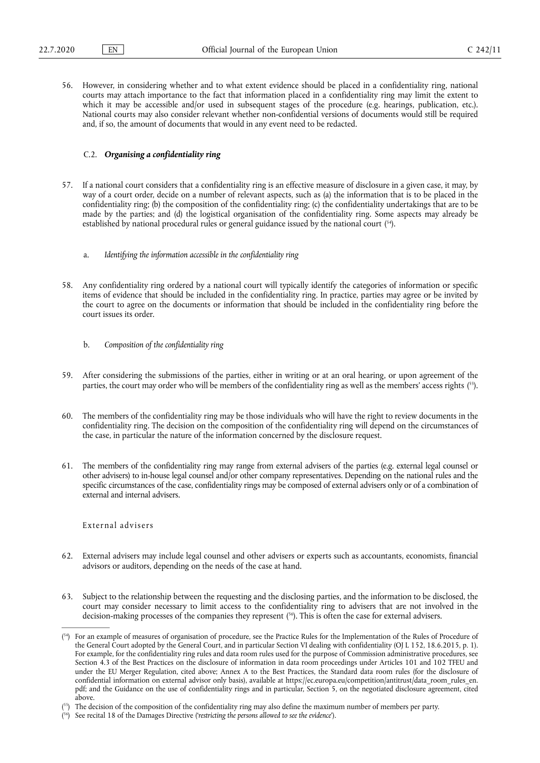56. However, in considering whether and to what extent evidence should be placed in a confidentiality ring, national courts may attach importance to the fact that information placed in a confidentiality ring may limit the extent to which it may be accessible and/or used in subsequent stages of the procedure (e.g. hearings, publication, etc.). National courts may also consider relevant whether non-confidential versions of documents would still be required and, if so, the amount of documents that would in any event need to be redacted.

#### C.2. *Organising a confidentiality ring*

- 57. If a national court considers that a confidentiality ring is an effective measure of disclosure in a given case, it may, by way of a court order, decide on a number of relevant aspects, such as (a) the information that is to be placed in the confidentiality ring; (b) the composition of the confidentiality ring; (c) the confidentiality undertakings that are to be made by the parties; and (d) the logistical organisation of the confidentiality ring. Some aspects may already be established by national procedural rules or general guidance issued by the national court (<sup>54</sup>).
	- a. *Identifying the information accessible in the confidentiality ring*
- 58. Any confidentiality ring ordered by a national court will typically identify the categories of information or specific items of evidence that should be included in the confidentiality ring. In practice, parties may agree or be invited by the court to agree on the documents or information that should be included in the confidentiality ring before the court issues its order.
	- b. *Composition of the confidentiality ring*
- 59. After considering the submissions of the parties, either in writing or at an oral hearing, or upon agreement of the parties, the court may order who will be members of the confidentiality ring as well as the members' access rights ( 55).
- 60. The members of the confidentiality ring may be those individuals who will have the right to review documents in the confidentiality ring. The decision on the composition of the confidentiality ring will depend on the circumstances of the case, in particular the nature of the information concerned by the disclosure request.
- 61. The members of the confidentiality ring may range from external advisers of the parties (e.g. external legal counsel or other advisers) to in-house legal counsel and/or other company representatives. Depending on the national rules and the specific circumstances of the case, confidentiality rings may be composed of external advisers only or of a combination of external and internal advisers.

External advisers

- 62. External advisers may include legal counsel and other advisers or experts such as accountants, economists, financial advisors or auditors, depending on the needs of the case at hand.
- 63. Subject to the relationship between the requesting and the disclosing parties, and the information to be disclosed, the court may consider necessary to limit access to the confidentiality ring to advisers that are not involved in the decision-making processes of the companies they represent ( 56). This is often the case for external advisers.

<sup>&</sup>lt;sup>[54</sup>] For an example of measures of organisation of procedure, see the Practice Rules for the Implementation of the Rules of Procedure of the General Court adopted by the General Court, and in particular Section VI dealing with confidentiality (OJ L 152, 18.6.2015, p. 1). For example, for the confidentiality ring rules and data room rules used for the purpose of Commission administrative procedures, see Section 4.3 of the Best Practices on the disclosure of information in data room proceedings under Articles 101 and 102 TFEU and under the EU Merger Regulation, cited above; Annex A to the Best Practices, the Standard data room rules (for the disclosure of confidential information on external advisor only basis), available at [https://ec.europa.eu/competition/antitrust/data\\_room\\_rules\\_en.](https://ec.europa.eu/competition/antitrust/data_room_rules_en.pdf) [pdf;](https://ec.europa.eu/competition/antitrust/data_room_rules_en.pdf) and the Guidance on the use of confidentiality rings and in particular, Section 5, on the negotiated disclosure agreement, cited above.

<sup>(</sup> <sup>55</sup>) The decision of the composition of the confidentiality ring may also define the maximum number of members per party.

<sup>(</sup> 56) See recital 18 of the Damages Directive ('*restricting the persons allowed to see the evidence*').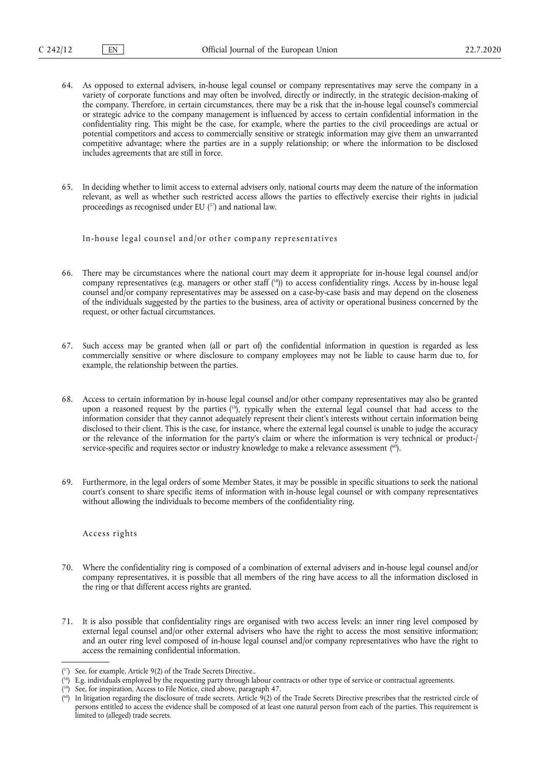- 64. As opposed to external advisers, in-house legal counsel or company representatives may serve the company in a variety of corporate functions and may often be involved, directly or indirectly, in the strategic decision-making of the company. Therefore, in certain circumstances, there may be a risk that the in-house legal counsel's commercial or strategic advice to the company management is influenced by access to certain confidential information in the confidentiality ring. This might be the case, for example, where the parties to the civil proceedings are actual or potential competitors and access to commercially sensitive or strategic information may give them an unwarranted competitive advantage; where the parties are in a supply relationship; or where the information to be disclosed includes agreements that are still in force.
- 65. In deciding whether to limit access to external advisers only, national courts may deem the nature of the information relevant, as well as whether such restricted access allows the parties to effectively exercise their rights in judicial proceedings as recognised under EU ( 57) and national law.

In-house legal counsel and/or other company representatives

- 66. There may be circumstances where the national court may deem it appropriate for in-house legal counsel and/or company representatives (e.g. managers or other staff ( 58)) to access confidentiality rings. Access by in-house legal counsel and/or company representatives may be assessed on a case-by-case basis and may depend on the closeness of the individuals suggested by the parties to the business, area of activity or operational business concerned by the request, or other factual circumstances.
- 67. Such access may be granted when (all or part of) the confidential information in question is regarded as less commercially sensitive or where disclosure to company employees may not be liable to cause harm due to, for example, the relationship between the parties.
- 68. Access to certain information by in-house legal counsel and/or other company representatives may also be granted upon a reasoned request by the parties (<sup>59</sup>), typically when the external legal counsel that had access to the information consider that they cannot adequately represent their client's interests without certain information being disclosed to their client. This is the case, for instance, where the external legal counsel is unable to judge the accuracy or the relevance of the information for the party's claim or where the information is very technical or product-/ service-specific and requires sector or industry knowledge to make a relevance assessment ( 60).
- 69. Furthermore, in the legal orders of some Member States, it may be possible in specific situations to seek the national court's consent to share specific items of information with in-house legal counsel or with company representatives without allowing the individuals to become members of the confidentiality ring.

#### Access rights

- 70. Where the confidentiality ring is composed of a combination of external advisers and in-house legal counsel and/or company representatives, it is possible that all members of the ring have access to all the information disclosed in the ring or that different access rights are granted.
- 71. It is also possible that confidentiality rings are organised with two access levels: an inner ring level composed by external legal counsel and/or other external advisers who have the right to access the most sensitive information; and an outer ring level composed of in-house legal counsel and/or company representatives who have the right to access the remaining confidential information.

<sup>(</sup> 57) See, for example, Article 9(2) of the Trade Secrets Directive..

<sup>&</sup>lt;sup>[88</sup>] E.g. individuals employed by the requesting party through labour contracts or other type of service or contractual agreements.

<sup>(</sup> 59) See, for inspiration, Access to File Notice, cited above, paragraph 47.

<sup>(</sup> 60) In litigation regarding the disclosure of trade secrets, Article 9(2) of the Trade Secrets Directive prescribes that the restricted circle of persons entitled to access the evidence shall be composed of at least one natural person from each of the parties. This requirement is limited to (alleged) trade secrets.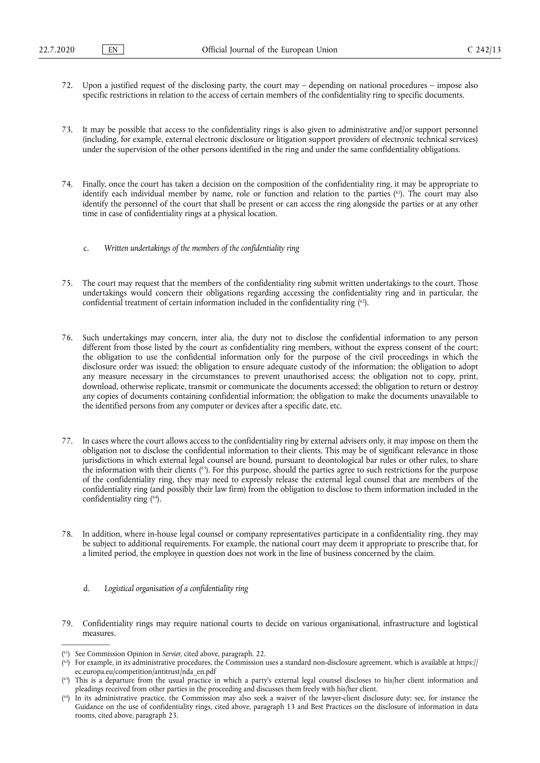- 72. Upon a justified request of the disclosing party, the court may depending on national procedures impose also specific restrictions in relation to the access of certain members of the confidentiality ring to specific documents.
- 73. It may be possible that access to the confidentiality rings is also given to administrative and/or support personnel (including, for example, external electronic disclosure or litigation support providers of electronic technical services) under the supervision of the other persons identified in the ring and under the same confidentiality obligations.
- 74. Finally, once the court has taken a decision on the composition of the confidentiality ring, it may be appropriate to identify each individual member by name, role or function and relation to the parties ( 61). The court may also identify the personnel of the court that shall be present or can access the ring alongside the parties or at any other time in case of confidentiality rings at a physical location.
	- c. *Written undertakings of the members of the confidentiality ring*
- 75. The court may request that the members of the confidentiality ring submit written undertakings to the court. Those undertakings would concern their obligations regarding accessing the confidentiality ring and in particular, the confidential treatment of certain information included in the confidentiality ring  $(62)$ .
- 76. Such undertakings may concern, inter alia, the duty not to disclose the confidential information to any person different from those listed by the court as confidentiality ring members, without the express consent of the court; the obligation to use the confidential information only for the purpose of the civil proceedings in which the disclosure order was issued; the obligation to ensure adequate custody of the information; the obligation to adopt any measure necessary in the circumstances to prevent unauthorised access; the obligation not to copy, print, download, otherwise replicate, transmit or communicate the documents accessed; the obligation to return or destroy any copies of documents containing confidential information; the obligation to make the documents unavailable to the identified persons from any computer or devices after a specific date, etc.
- 77. In cases where the court allows access to the confidentiality ring by external advisers only, it may impose on them the obligation not to disclose the confidential information to their clients. This may be of significant relevance in those jurisdictions in which external legal counsel are bound, pursuant to deontological bar rules or other rules, to share the information with their clients ( 63). For this purpose, should the parties agree to such restrictions for the purpose of the confidentiality ring, they may need to expressly release the external legal counsel that are members of the confidentiality ring (and possibly their law firm) from the obligation to disclose to them information included in the confidentiality ring ( 64).
- 78. In addition, where in-house legal counsel or company representatives participate in a confidentiality ring, they may be subject to additional requirements. For example, the national court may deem it appropriate to prescribe that, for a limited period, the employee in question does not work in the line of business concerned by the claim.
	- d. *Logistical organisation of a confidentiality ring*
- 79. Confidentiality rings may require national courts to decide on various organisational, infrastructure and logistical measures.

<sup>(</sup> 61) See Commission Opinion in *Servier,* cited above, paragraph. 22.

<sup>(</sup> 62) For example, in its administrative procedures, the Commission uses a standard non-disclosure agreement, which is available at [https://](https://ec.europa.eu/competition/antitrust/nda_en.pdf) [ec.europa.eu/competition/antitrust/nda\\_en.pdf](https://ec.europa.eu/competition/antitrust/nda_en.pdf)

<sup>(</sup> 63) This is a departure from the usual practice in which a party's external legal counsel discloses to his/her client information and pleadings received from other parties in the proceeding and discusses them freely with his/her client.

<sup>(</sup> 64) In its administrative practice, the Commission may also seek a waiver of the lawyer-client disclosure duty; see, for instance the Guidance on the use of confidentiality rings, cited above, paragraph 13 and Best Practices on the disclosure of information in data rooms, cited above, paragraph 23.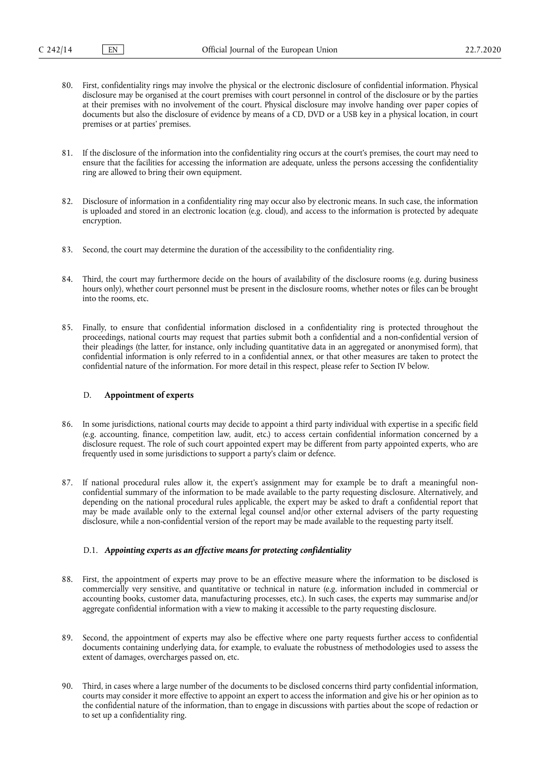- 80. First, confidentiality rings may involve the physical or the electronic disclosure of confidential information. Physical disclosure may be organised at the court premises with court personnel in control of the disclosure or by the parties at their premises with no involvement of the court. Physical disclosure may involve handing over paper copies of documents but also the disclosure of evidence by means of a CD, DVD or a USB key in a physical location, in court premises or at parties' premises.
- 81. If the disclosure of the information into the confidentiality ring occurs at the court's premises, the court may need to ensure that the facilities for accessing the information are adequate, unless the persons accessing the confidentiality ring are allowed to bring their own equipment.
- 82. Disclosure of information in a confidentiality ring may occur also by electronic means. In such case, the information is uploaded and stored in an electronic location (e.g. cloud), and access to the information is protected by adequate encryption.
- 83. Second, the court may determine the duration of the accessibility to the confidentiality ring.
- 84. Third, the court may furthermore decide on the hours of availability of the disclosure rooms (e.g. during business hours only), whether court personnel must be present in the disclosure rooms, whether notes or files can be brought into the rooms, etc.
- 85. Finally, to ensure that confidential information disclosed in a confidentiality ring is protected throughout the proceedings, national courts may request that parties submit both a confidential and a non-confidential version of their pleadings (the latter, for instance, only including quantitative data in an aggregated or anonymised form), that confidential information is only referred to in a confidential annex, or that other measures are taken to protect the confidential nature of the information. For more detail in this respect, please refer to Section IV below.

# D. **Appointment of experts**

- 86. In some jurisdictions, national courts may decide to appoint a third party individual with expertise in a specific field (e.g. accounting, finance, competition law, audit, etc.) to access certain confidential information concerned by a disclosure request. The role of such court appointed expert may be different from party appointed experts, who are frequently used in some jurisdictions to support a party's claim or defence.
- 87. If national procedural rules allow it, the expert's assignment may for example be to draft a meaningful nonconfidential summary of the information to be made available to the party requesting disclosure. Alternatively, and depending on the national procedural rules applicable, the expert may be asked to draft a confidential report that may be made available only to the external legal counsel and/or other external advisers of the party requesting disclosure, while a non-confidential version of the report may be made available to the requesting party itself.

#### D.1. *Appointing experts as an effective means for protecting confidentiality*

- 88. First, the appointment of experts may prove to be an effective measure where the information to be disclosed is commercially very sensitive, and quantitative or technical in nature (e.g. information included in commercial or accounting books, customer data, manufacturing processes, etc.). In such cases, the experts may summarise and/or aggregate confidential information with a view to making it accessible to the party requesting disclosure.
- 89. Second, the appointment of experts may also be effective where one party requests further access to confidential documents containing underlying data, for example, to evaluate the robustness of methodologies used to assess the extent of damages, overcharges passed on, etc.
- 90. Third, in cases where a large number of the documents to be disclosed concerns third party confidential information, courts may consider it more effective to appoint an expert to access the information and give his or her opinion as to the confidential nature of the information, than to engage in discussions with parties about the scope of redaction or to set up a confidentiality ring.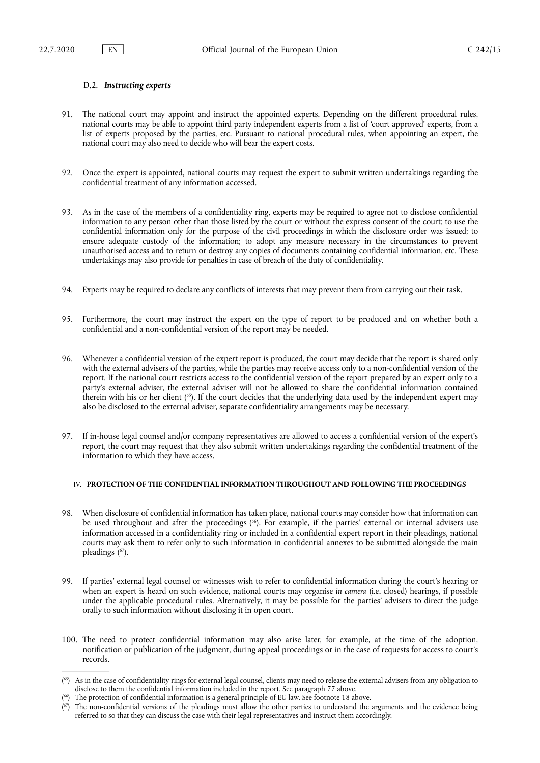# D.2. *Instructing experts*

- 91. The national court may appoint and instruct the appointed experts. Depending on the different procedural rules, national courts may be able to appoint third party independent experts from a list of 'court approved' experts, from a list of experts proposed by the parties, etc. Pursuant to national procedural rules, when appointing an expert, the national court may also need to decide who will bear the expert costs.
- 92. Once the expert is appointed, national courts may request the expert to submit written undertakings regarding the confidential treatment of any information accessed.
- 93. As in the case of the members of a confidentiality ring, experts may be required to agree not to disclose confidential information to any person other than those listed by the court or without the express consent of the court; to use the confidential information only for the purpose of the civil proceedings in which the disclosure order was issued; to ensure adequate custody of the information; to adopt any measure necessary in the circumstances to prevent unauthorised access and to return or destroy any copies of documents containing confidential information, etc. These undertakings may also provide for penalties in case of breach of the duty of confidentiality.
- 94. Experts may be required to declare any conflicts of interests that may prevent them from carrying out their task.
- 95. Furthermore, the court may instruct the expert on the type of report to be produced and on whether both a confidential and a non-confidential version of the report may be needed.
- 96. Whenever a confidential version of the expert report is produced, the court may decide that the report is shared only with the external advisers of the parties, while the parties may receive access only to a non-confidential version of the report. If the national court restricts access to the confidential version of the report prepared by an expert only to a party's external adviser, the external adviser will not be allowed to share the confidential information contained therein with his or her client ( 65). If the court decides that the underlying data used by the independent expert may also be disclosed to the external adviser, separate confidentiality arrangements may be necessary.
- 97. If in-house legal counsel and/or company representatives are allowed to access a confidential version of the expert's report, the court may request that they also submit written undertakings regarding the confidential treatment of the information to which they have access.

# IV. **PROTECTION OF THE CONFIDENTIAL INFORMATION THROUGHOUT AND FOLLOWING THE PROCEEDINGS**

- 98. When disclosure of confidential information has taken place, national courts may consider how that information can be used throughout and after the proceedings ( 66). For example, if the parties' external or internal advisers use information accessed in a confidentiality ring or included in a confidential expert report in their pleadings, national courts may ask them to refer only to such information in confidential annexes to be submitted alongside the main pleadings ( 67).
- 99. If parties' external legal counsel or witnesses wish to refer to confidential information during the court's hearing or when an expert is heard on such evidence, national courts may organise *in camera* (i.e. closed) hearings, if possible under the applicable procedural rules. Alternatively, it may be possible for the parties' advisers to direct the judge orally to such information without disclosing it in open court.
- 100. The need to protect confidential information may also arise later, for example, at the time of the adoption, notification or publication of the judgment, during appeal proceedings or in the case of requests for access to court's records.

<sup>&</sup>lt;sup>(55)</sup> As in the case of confidentiality rings for external legal counsel, clients may need to release the external advisers from any obligation to disclose to them the confidential information included in the report. See paragraph 77 above.

<sup>(</sup> The protection of confidential information is a general principle of EU law. See footnote 18 above.

<sup>(&</sup>lt;sup>67</sup>) The non-confidential versions of the pleadings must allow the other parties to understand the arguments and the evidence being referred to so that they can discuss the case with their legal representatives and instruct them accordingly.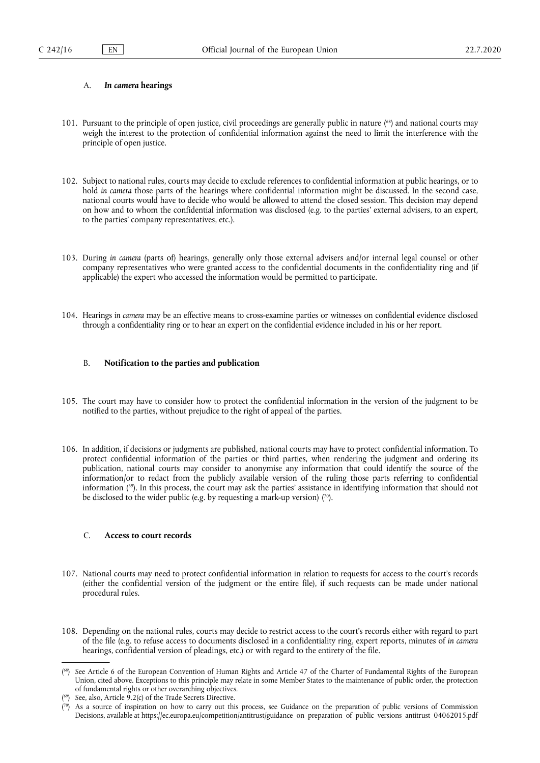#### A. *In camera* **hearings**

- 101. Pursuant to the principle of open justice, civil proceedings are generally public in nature ( 68) and national courts may weigh the interest to the protection of confidential information against the need to limit the interference with the principle of open justice.
- 102. Subject to national rules, courts may decide to exclude references to confidential information at public hearings, or to hold *in camera* those parts of the hearings where confidential information might be discussed. In the second case, national courts would have to decide who would be allowed to attend the closed session. This decision may depend on how and to whom the confidential information was disclosed (e.g. to the parties' external advisers, to an expert, to the parties' company representatives, etc.).
- 103. During *in camera* (parts of) hearings, generally only those external advisers and/or internal legal counsel or other company representatives who were granted access to the confidential documents in the confidentiality ring and (if applicable) the expert who accessed the information would be permitted to participate.
- 104. Hearings *in camera* may be an effective means to cross-examine parties or witnesses on confidential evidence disclosed through a confidentiality ring or to hear an expert on the confidential evidence included in his or her report.

#### B. **Notification to the parties and publication**

- 105. The court may have to consider how to protect the confidential information in the version of the judgment to be notified to the parties, without prejudice to the right of appeal of the parties.
- 106. In addition, if decisions or judgments are published, national courts may have to protect confidential information. To protect confidential information of the parties or third parties, when rendering the judgment and ordering its publication, national courts may consider to anonymise any information that could identify the source of the information/or to redact from the publicly available version of the ruling those parts referring to confidential information ( 69). In this process, the court may ask the parties' assistance in identifying information that should not be disclosed to the wider public (e.g. by requesting a mark-up version)  $(70)$ .

#### C. **Access to court records**

- 107. National courts may need to protect confidential information in relation to requests for access to the court's records (either the confidential version of the judgment or the entire file), if such requests can be made under national procedural rules.
- 108. Depending on the national rules, courts may decide to restrict access to the court's records either with regard to part of the file (e.g. to refuse access to documents disclosed in a confidentiality ring, expert reports, minutes of *in camera*  hearings, confidential version of pleadings, etc.) or with regard to the entirety of the file.

<sup>(</sup> 68) See Article 6 of the European Convention of Human Rights and Article 47 of the Charter of Fundamental Rights of the European Union, cited above. Exceptions to this principle may relate in some Member States to the maintenance of public order, the protection of fundamental rights or other overarching objectives.

<sup>(</sup> See, also, Article 9.2(c) of the Trade Secrets Directive.

<sup>(</sup> As a source of inspiration on how to carry out this process, see Guidance on the preparation of public versions of Commission Decisions, available at [https://ec.europa.eu/competition/antitrust/guidance\\_on\\_preparation\\_of\\_public\\_versions\\_antitrust\\_04062015.pdf](https://ec.europa.eu/competition/antitrust/guidance_on_preparation_of_public_versions_antitrust_04062015.pdf)